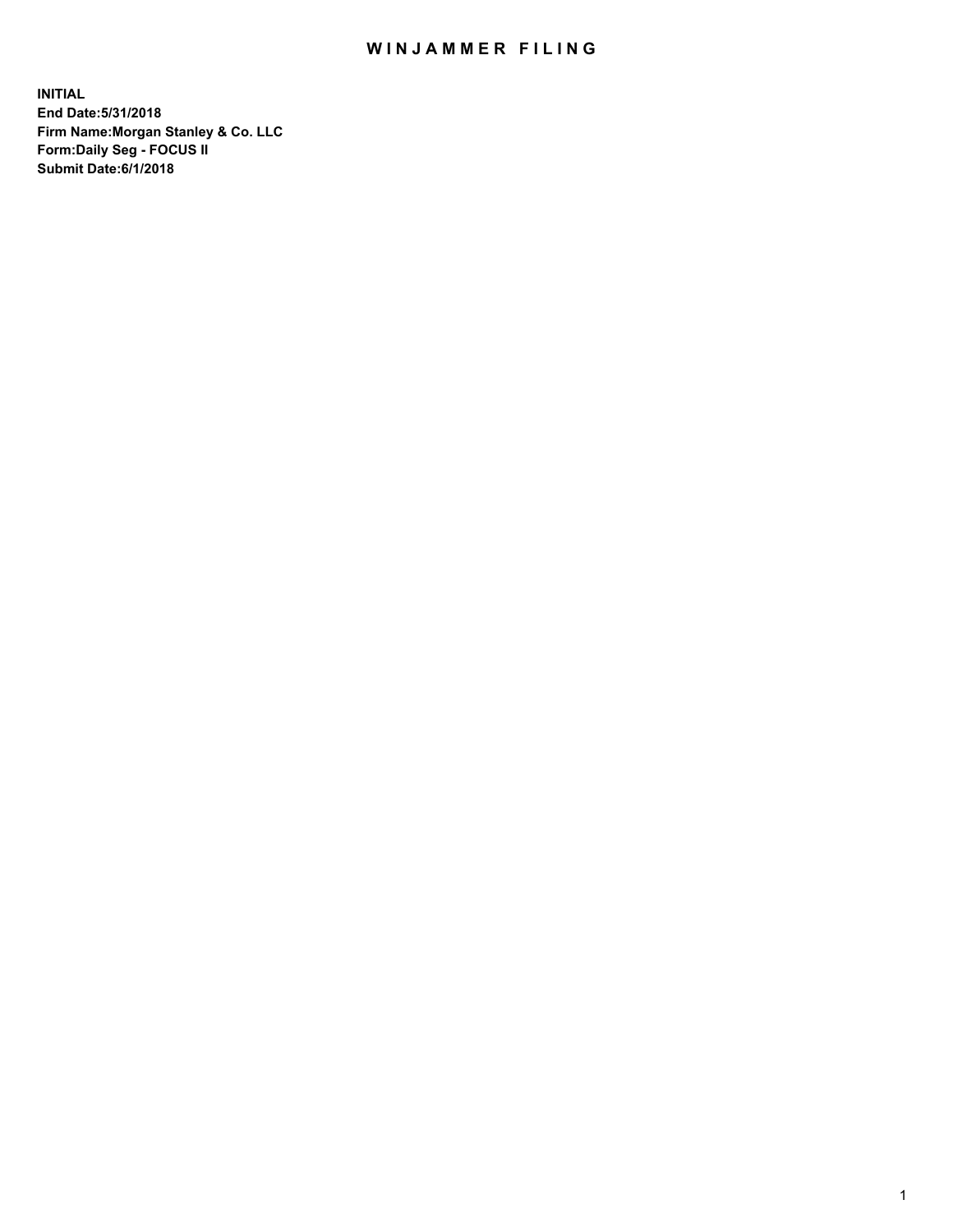## WIN JAMMER FILING

**INITIAL End Date:5/31/2018 Firm Name:Morgan Stanley & Co. LLC Form:Daily Seg - FOCUS II Submit Date:6/1/2018**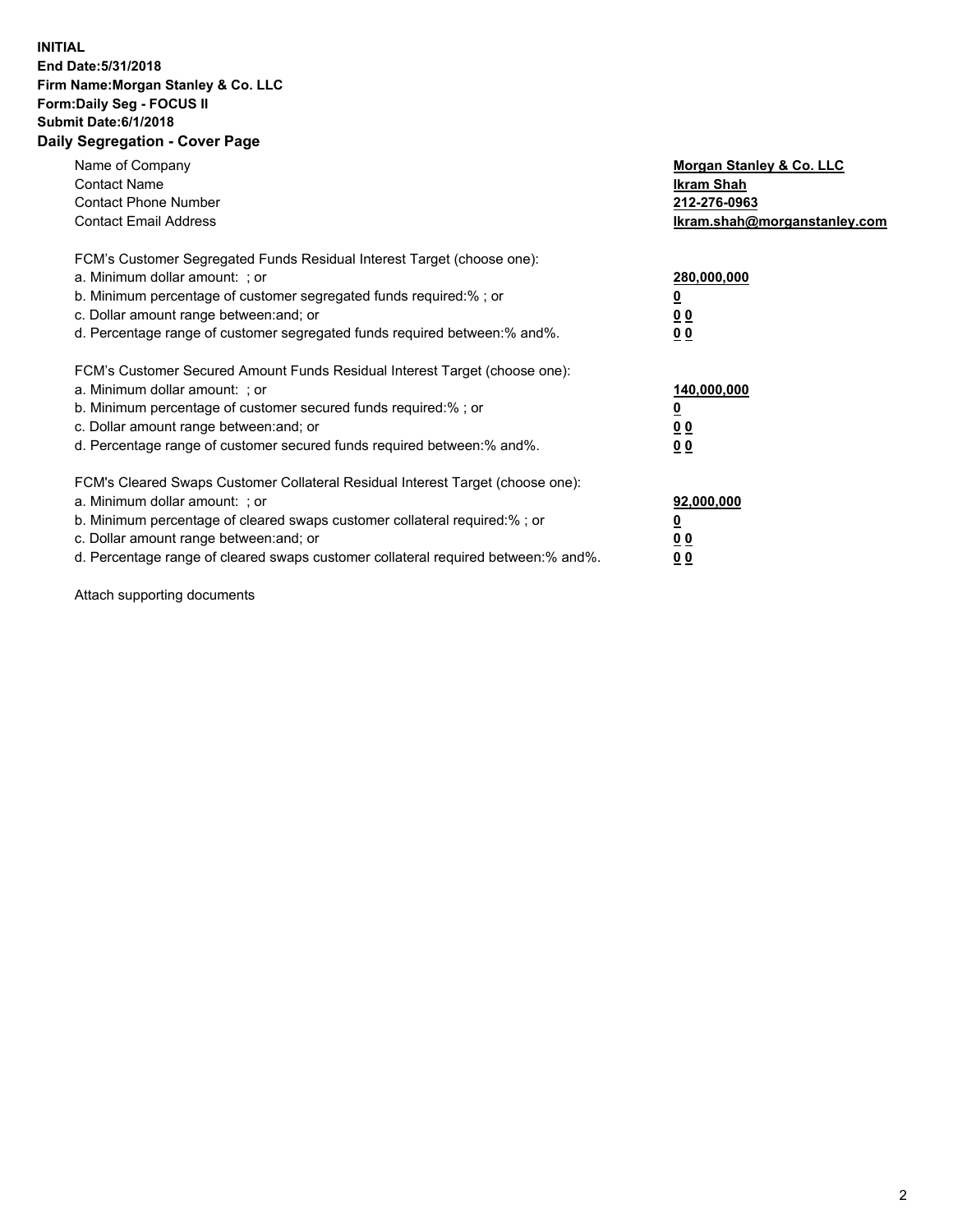## **INITIAL End Date:5/31/2018 Firm Name:Morgan Stanley & Co. LLC Form:Daily Seg - FOCUS II Submit Date:6/1/2018 Daily Segregation - Cover Page**

| Name of Company<br><b>Contact Name</b><br><b>Contact Phone Number</b><br><b>Contact Email Address</b>                                                                                                                                                                                                                          | Morgan Stanley & Co. LLC<br><b>Ikram Shah</b><br>212-276-0963<br>Ikram.shah@morganstanley.com |
|--------------------------------------------------------------------------------------------------------------------------------------------------------------------------------------------------------------------------------------------------------------------------------------------------------------------------------|-----------------------------------------------------------------------------------------------|
| FCM's Customer Segregated Funds Residual Interest Target (choose one):<br>a. Minimum dollar amount: ; or<br>b. Minimum percentage of customer segregated funds required:%; or<br>c. Dollar amount range between: and; or<br>d. Percentage range of customer segregated funds required between: % and %.                        | 280,000,000<br><u>0</u><br>0 <sub>0</sub><br>0 <sub>0</sub>                                   |
| FCM's Customer Secured Amount Funds Residual Interest Target (choose one):<br>a. Minimum dollar amount: ; or<br>b. Minimum percentage of customer secured funds required:%; or<br>c. Dollar amount range between: and; or<br>d. Percentage range of customer secured funds required between: % and %.                          | 140,000,000<br>0 <sub>0</sub><br>0 <sub>0</sub>                                               |
| FCM's Cleared Swaps Customer Collateral Residual Interest Target (choose one):<br>a. Minimum dollar amount: ; or<br>b. Minimum percentage of cleared swaps customer collateral required:% ; or<br>c. Dollar amount range between: and; or<br>d. Percentage range of cleared swaps customer collateral required between:% and%. | 92,000,000<br>0 <sub>0</sub><br>0 <sub>0</sub>                                                |

Attach supporting documents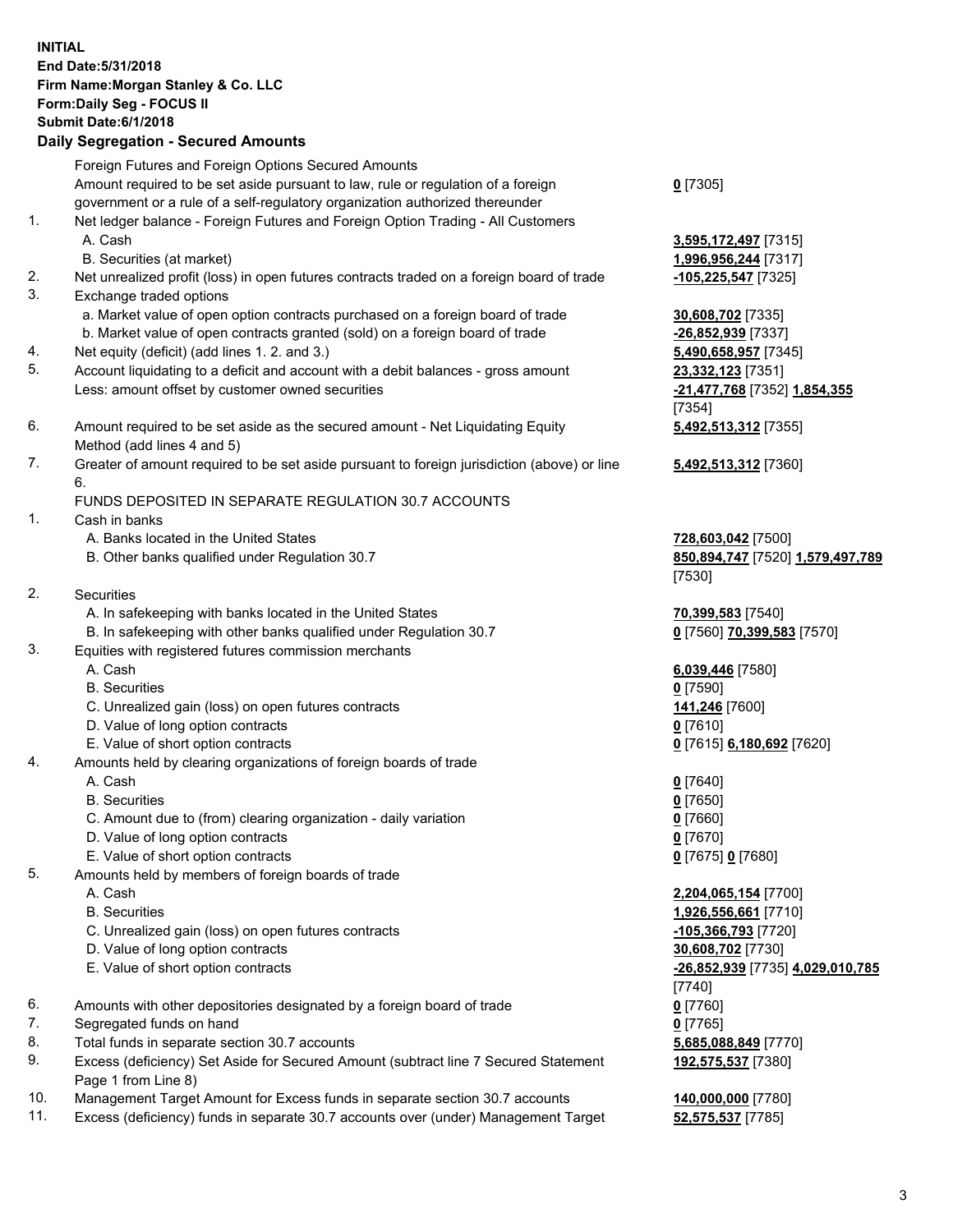## **INITIAL End Date:5/31/2018 Firm Name:Morgan Stanley & Co. LLC Form:Daily Seg - FOCUS II Submit Date:6/1/2018 Daily Segregation - Secured Amounts** Foreign Futures and Foreign Options Secured Amounts Amount required to be set aside pursuant to law, rule or regulation of a foreign government or a rule of a self-regulatory organization authorized thereunder 1. Net ledger balance - Foreign Futures and Foreign Option Trading - All Customers A. Cash **3,595,172,497** [7315] B. Securities (at market) **1,996,956,244** [7317] 2. Net unrealized profit (loss) in open futures contracts traded on a foreign board of trade **-105,225,547** [7325] 3. Exchange traded options a. Market value of open option contracts purchased on a foreign board of trade **30,608,702** [7335] b. Market value of open contracts granted (sold) on a foreign board of trade **-26,852,939** [7337] 4. Net equity (deficit) (add lines 1. 2. and 3.) **5,490,658,957** [7345] 5. Account liquidating to a deficit and account with a debit balances - gross amount **23,332,123** [7351] Less: amount offset by customer owned securities **-21,477,768** [7352] **1,854,355** 6. Amount required to be set aside as the secured amount - Net Liquidating Equity Method (add lines 4 and 5) 7. Greater of amount required to be set aside pursuant to foreign jurisdiction (above) or line 6. FUNDS DEPOSITED IN SEPARATE REGULATION 30.7 ACCOUNTS 1. Cash in banks A. Banks located in the United States **728,603,042** [7500] B. Other banks qualified under Regulation 30.7 **850,894,747** [7520] **1,579,497,789** 2. Securities A. In safekeeping with banks located in the United States **70,399,583** [7540] B. In safekeeping with other banks qualified under Regulation 30.7 **0** [7560] **70,399,583** [7570] 3. Equities with registered futures commission merchants A. Cash **6,039,446** [7580] B. Securities **0** [7590] C. Unrealized gain (loss) on open futures contracts **141,246** [7600] D. Value of long option contracts **0** [7610] E. Value of short option contracts **0** [7615] **6,180,692** [7620] 4. Amounts held by clearing organizations of foreign boards of trade A. Cash **0** [7640] B. Securities **0** [7650] C. Amount due to (from) clearing organization - daily variation **0** [7660] D. Value of long option contracts **0** [7670] E. Value of short option contracts **0** [7675] **0** [7680] 5. Amounts held by members of foreign boards of trade A. Cash **2,204,065,154** [7700] B. Securities **1,926,556,661** [7710] C. Unrealized gain (loss) on open futures contracts **-105,366,793** [7720] D. Value of long option contracts **30,608,702** [7730] E. Value of short option contracts **-26,852,939** [7735] **4,029,010,785**

- 6. Amounts with other depositories designated by a foreign board of trade **0** [7760]
- 7. Segregated funds on hand **0** [7765]
- 8. Total funds in separate section 30.7 accounts **5,685,088,849** [7770]
- 9. Excess (deficiency) Set Aside for Secured Amount (subtract line 7 Secured Statement Page 1 from Line 8)
- 10. Management Target Amount for Excess funds in separate section 30.7 accounts **140,000,000** [7780]
- 11. Excess (deficiency) funds in separate 30.7 accounts over (under) Management Target **52,575,537** [7785]

[7354] **5,492,513,312** [7355]

**0** [7305]

**5,492,513,312** [7360]

[7530]

[7740] **192,575,537** [7380]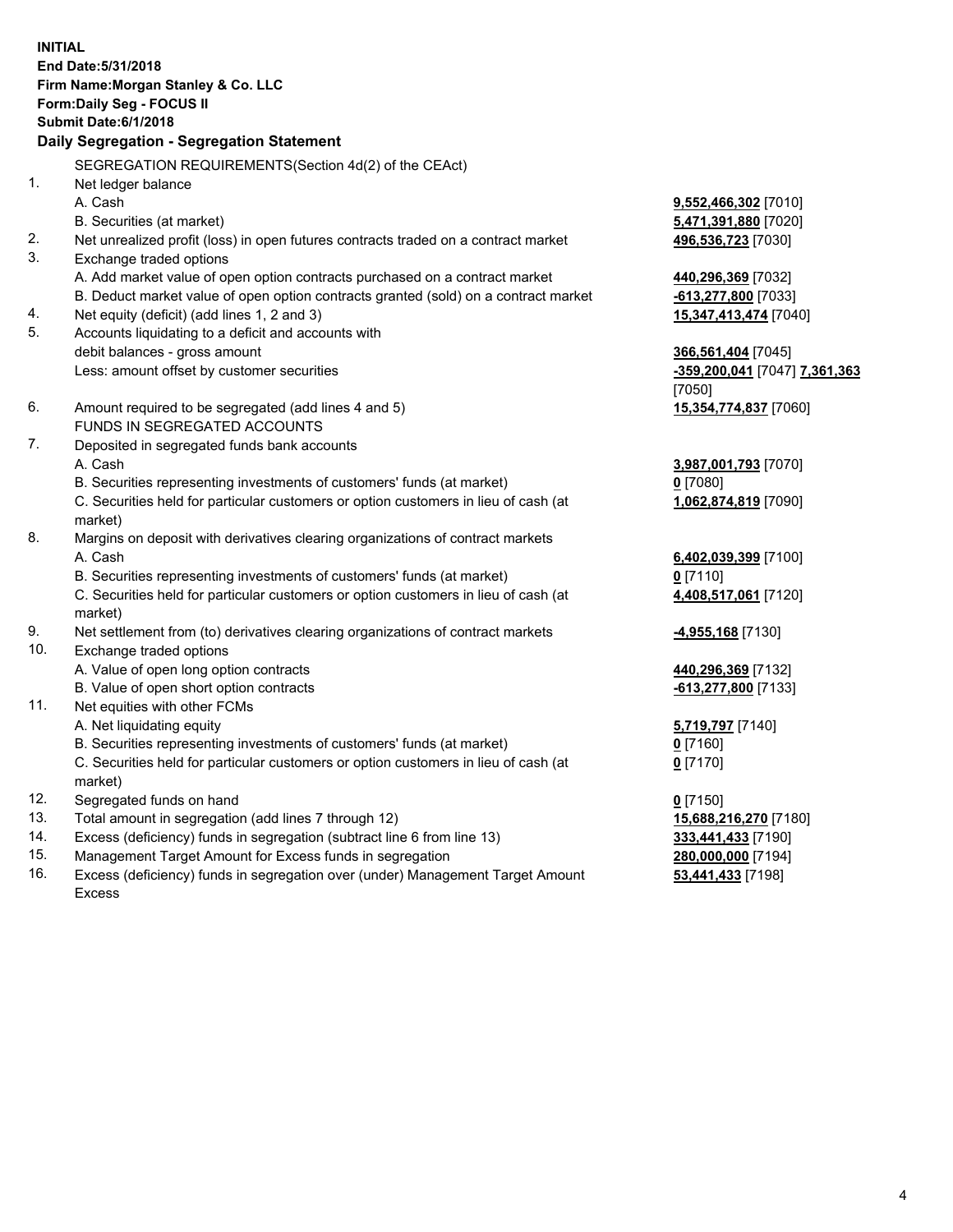**INITIAL End Date:5/31/2018 Firm Name:Morgan Stanley & Co. LLC Form:Daily Seg - FOCUS II Submit Date:6/1/2018 Daily Segregation - Segregation Statement** SEGREGATION REQUIREMENTS(Section 4d(2) of the CEAct) 1. Net ledger balance A. Cash **9,552,466,302** [7010] B. Securities (at market) **5,471,391,880** [7020] 2. Net unrealized profit (loss) in open futures contracts traded on a contract market **496,536,723** [7030] 3. Exchange traded options A. Add market value of open option contracts purchased on a contract market **440,296,369** [7032] B. Deduct market value of open option contracts granted (sold) on a contract market **-613,277,800** [7033] 4. Net equity (deficit) (add lines 1, 2 and 3) **15,347,413,474** [7040] 5. Accounts liquidating to a deficit and accounts with debit balances - gross amount **366,561,404** [7045] Less: amount offset by customer securities **-359,200,041** [7047] **7,361,363** [7050] 6. Amount required to be segregated (add lines 4 and 5) **15,354,774,837** [7060] FUNDS IN SEGREGATED ACCOUNTS 7. Deposited in segregated funds bank accounts A. Cash **3,987,001,793** [7070] B. Securities representing investments of customers' funds (at market) **0** [7080] C. Securities held for particular customers or option customers in lieu of cash (at market) **1,062,874,819** [7090] 8. Margins on deposit with derivatives clearing organizations of contract markets A. Cash **6,402,039,399** [7100] B. Securities representing investments of customers' funds (at market) **0** [7110] C. Securities held for particular customers or option customers in lieu of cash (at market) **4,408,517,061** [7120] 9. Net settlement from (to) derivatives clearing organizations of contract markets **-4,955,168** [7130] 10. Exchange traded options A. Value of open long option contracts **440,296,369** [7132] B. Value of open short option contracts **-613,277,800** [7133] 11. Net equities with other FCMs A. Net liquidating equity **5,719,797** [7140] B. Securities representing investments of customers' funds (at market) **0** [7160] C. Securities held for particular customers or option customers in lieu of cash (at market) **0** [7170] 12. Segregated funds on hand **0** [7150] 13. Total amount in segregation (add lines 7 through 12) **15,688,216,270** [7180] 14. Excess (deficiency) funds in segregation (subtract line 6 from line 13) **333,441,433** [7190]

- 15. Management Target Amount for Excess funds in segregation **280,000,000** [7194]
- 16. Excess (deficiency) funds in segregation over (under) Management Target Amount Excess

**53,441,433** [7198]